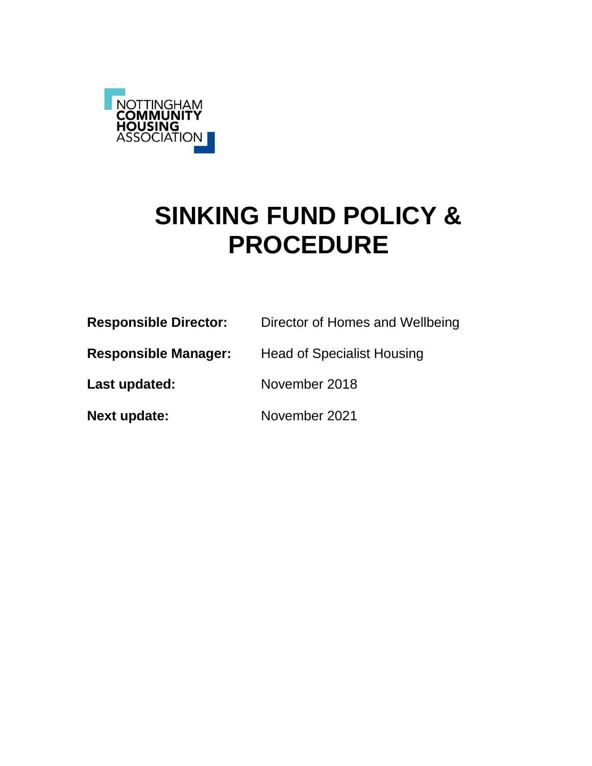

# **SINKING FUND POLICY & PROCEDURE**

| <b>Responsible Director:</b> | Director of Homes and Wellbeing   |
|------------------------------|-----------------------------------|
| <b>Responsible Manager:</b>  | <b>Head of Specialist Housing</b> |
| Last updated:                | November 2018                     |
| Next update:                 | November 2021                     |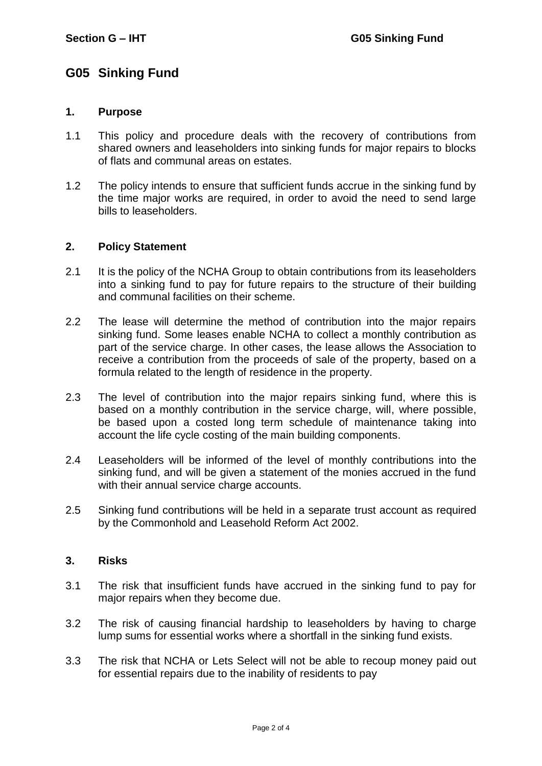## **G05 Sinking Fund**

#### **1. Purpose**

- 1.1 This policy and procedure deals with the recovery of contributions from shared owners and leaseholders into sinking funds for major repairs to blocks of flats and communal areas on estates.
- 1.2 The policy intends to ensure that sufficient funds accrue in the sinking fund by the time major works are required, in order to avoid the need to send large bills to leaseholders.

#### **2. Policy Statement**

- 2.1 It is the policy of the NCHA Group to obtain contributions from its leaseholders into a sinking fund to pay for future repairs to the structure of their building and communal facilities on their scheme.
- 2.2 The lease will determine the method of contribution into the major repairs sinking fund. Some leases enable NCHA to collect a monthly contribution as part of the service charge. In other cases, the lease allows the Association to receive a contribution from the proceeds of sale of the property, based on a formula related to the length of residence in the property.
- 2.3 The level of contribution into the major repairs sinking fund, where this is based on a monthly contribution in the service charge, will, where possible, be based upon a costed long term schedule of maintenance taking into account the life cycle costing of the main building components.
- 2.4 Leaseholders will be informed of the level of monthly contributions into the sinking fund, and will be given a statement of the monies accrued in the fund with their annual service charge accounts.
- 2.5 Sinking fund contributions will be held in a separate trust account as required by the Commonhold and Leasehold Reform Act 2002.

### **3. Risks**

- 3.1 The risk that insufficient funds have accrued in the sinking fund to pay for major repairs when they become due.
- 3.2 The risk of causing financial hardship to leaseholders by having to charge lump sums for essential works where a shortfall in the sinking fund exists.
- 3.3 The risk that NCHA or Lets Select will not be able to recoup money paid out for essential repairs due to the inability of residents to pay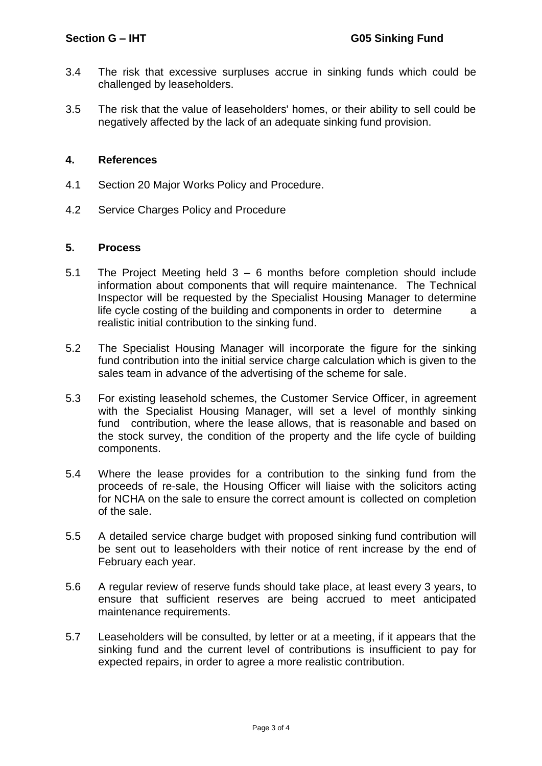- 3.4 The risk that excessive surpluses accrue in sinking funds which could be challenged by leaseholders.
- 3.5 The risk that the value of leaseholders' homes, or their ability to sell could be negatively affected by the lack of an adequate sinking fund provision.

#### **4. References**

- 4.1 Section 20 Major Works Policy and Procedure.
- 4.2 Service Charges Policy and Procedure

#### **5. Process**

- 5.1 The Project Meeting held 3 6 months before completion should include information about components that will require maintenance. The Technical Inspector will be requested by the Specialist Housing Manager to determine life cycle costing of the building and components in order to determine a realistic initial contribution to the sinking fund.
- 5.2 The Specialist Housing Manager will incorporate the figure for the sinking fund contribution into the initial service charge calculation which is given to the sales team in advance of the advertising of the scheme for sale.
- 5.3 For existing leasehold schemes, the Customer Service Officer, in agreement with the Specialist Housing Manager, will set a level of monthly sinking fund contribution, where the lease allows, that is reasonable and based on the stock survey, the condition of the property and the life cycle of building components.
- 5.4 Where the lease provides for a contribution to the sinking fund from the proceeds of re-sale, the Housing Officer will liaise with the solicitors acting for NCHA on the sale to ensure the correct amount is collected on completion of the sale.
- 5.5 A detailed service charge budget with proposed sinking fund contribution will be sent out to leaseholders with their notice of rent increase by the end of February each year.
- 5.6 A regular review of reserve funds should take place, at least every 3 years, to ensure that sufficient reserves are being accrued to meet anticipated maintenance requirements.
- 5.7 Leaseholders will be consulted, by letter or at a meeting, if it appears that the sinking fund and the current level of contributions is insufficient to pay for expected repairs, in order to agree a more realistic contribution.